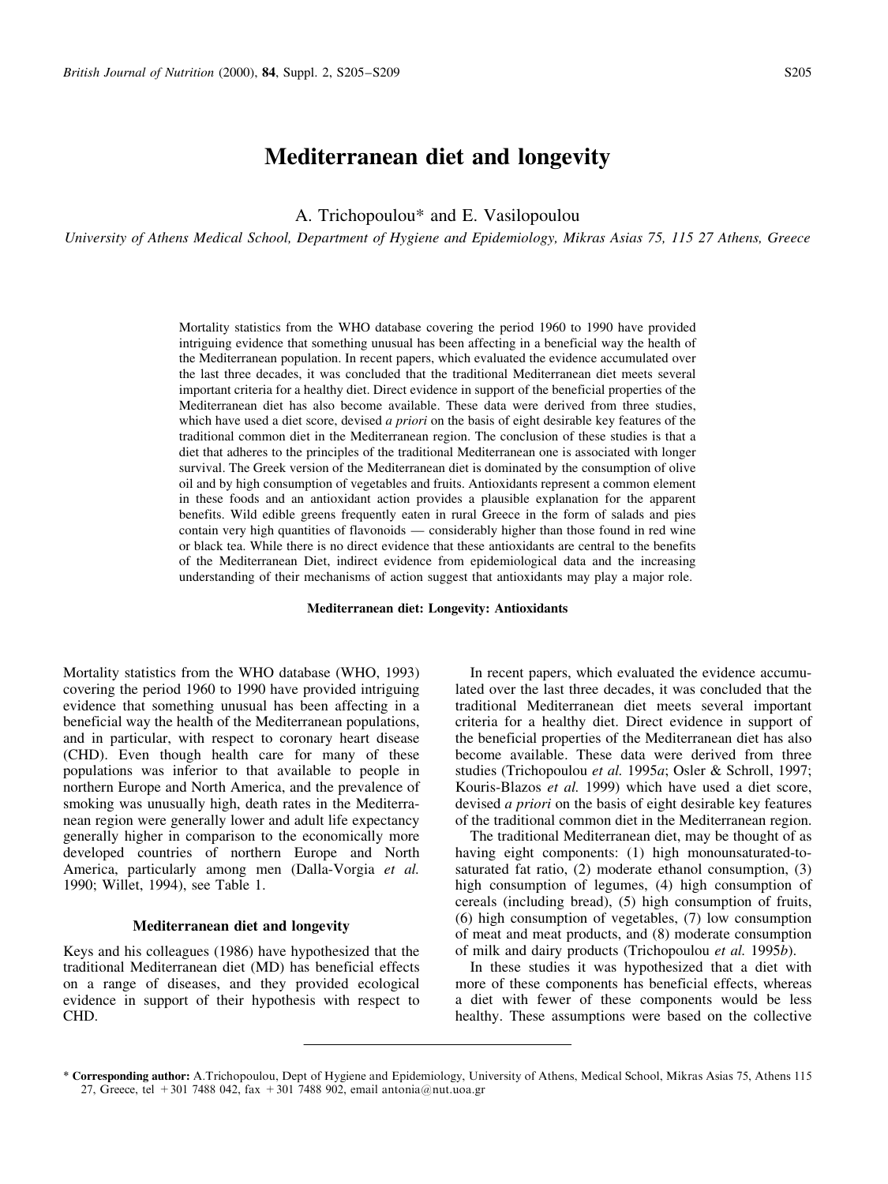# Mediterranean diet and longevity

A. Trichopoulou\* and E. Vasilopoulou

University of Athens Medical School, Department of Hygiene and Epidemiology, Mikras Asias 75, 115 27 Athens, Greece

Mortality statistics from the WHO database covering the period 1960 to 1990 have provided intriguing evidence that something unusual has been affecting in a beneficial way the health of the Mediterranean population. In recent papers, which evaluated the evidence accumulated over the last three decades, it was concluded that the traditional Mediterranean diet meets several important criteria for a healthy diet. Direct evidence in support of the beneficial properties of the Mediterranean diet has also become available. These data were derived from three studies, which have used a diet score, devised a priori on the basis of eight desirable key features of the traditional common diet in the Mediterranean region. The conclusion of these studies is that a diet that adheres to the principles of the traditional Mediterranean one is associated with longer survival. The Greek version of the Mediterranean diet is dominated by the consumption of olive oil and by high consumption of vegetables and fruits. Antioxidants represent a common element in these foods and an antioxidant action provides a plausible explanation for the apparent benefits. Wild edible greens frequently eaten in rural Greece in the form of salads and pies contain very high quantities of flavonoids — considerably higher than those found in red wine or black tea. While there is no direct evidence that these antioxidants are central to the benefits of the Mediterranean Diet, indirect evidence from epidemiological data and the increasing understanding of their mechanisms of action suggest that antioxidants may play a major role.

Mediterranean diet: Longevity: Antioxidants

Mortality statistics from the WHO database (WHO, 1993) covering the period 1960 to 1990 have provided intriguing evidence that something unusual has been affecting in a beneficial way the health of the Mediterranean populations, and in particular, with respect to coronary heart disease (CHD). Even though health care for many of these populations was inferior to that available to people in northern Europe and North America, and the prevalence of smoking was unusually high, death rates in the Mediterranean region were generally lower and adult life expectancy generally higher in comparison to the economically more developed countries of northern Europe and North America, particularly among men (Dalla-Vorgia et al. 1990; Willet, 1994), see [Table 1.](#page-1-0)

#### Mediterranean diet and longevity

Keys and his colleagues (1986) have hypothesized that the traditional Mediterranean diet (MD) has beneficial effects on a range of diseases, and they provided ecological evidence in support of their hypothesis with respect to CHD.

In recent papers, which evaluated the evidence accumulated over the last three decades, it was concluded that the traditional Mediterranean diet meets several important criteria for a healthy diet. Direct evidence in support of the beneficial properties of the Mediterranean diet has also become available. These data were derived from three studies (Trichopoulou et al. 1995a; Osler & Schroll, 1997; Kouris-Blazos et al. 1999) which have used a diet score, devised *a priori* on the basis of eight desirable key features of the traditional common diet in the Mediterranean region.

The traditional Mediterranean diet, may be thought of as having eight components: (1) high monounsaturated-tosaturated fat ratio, (2) moderate ethanol consumption, (3) high consumption of legumes, (4) high consumption of cereals (including bread), (5) high consumption of fruits, (6) high consumption of vegetables, (7) low consumption of meat and meat products, and (8) moderate consumption of milk and dairy products (Trichopoulou et al. 1995b).

In these studies it was hypothesized that a diet with more of these components has beneficial effects, whereas a diet with fewer of these components would be less healthy. These assumptions were based on the collective

<sup>\*</sup> Corresponding author: A.Trichopoulou, Dept of Hygiene and Epidemiology, University of Athens, Medical School, Mikras Asias 75, Athens 115 27, Greece, tel +301 7488 042, fax +301 7488 902, email antonia@nut.uoa.gr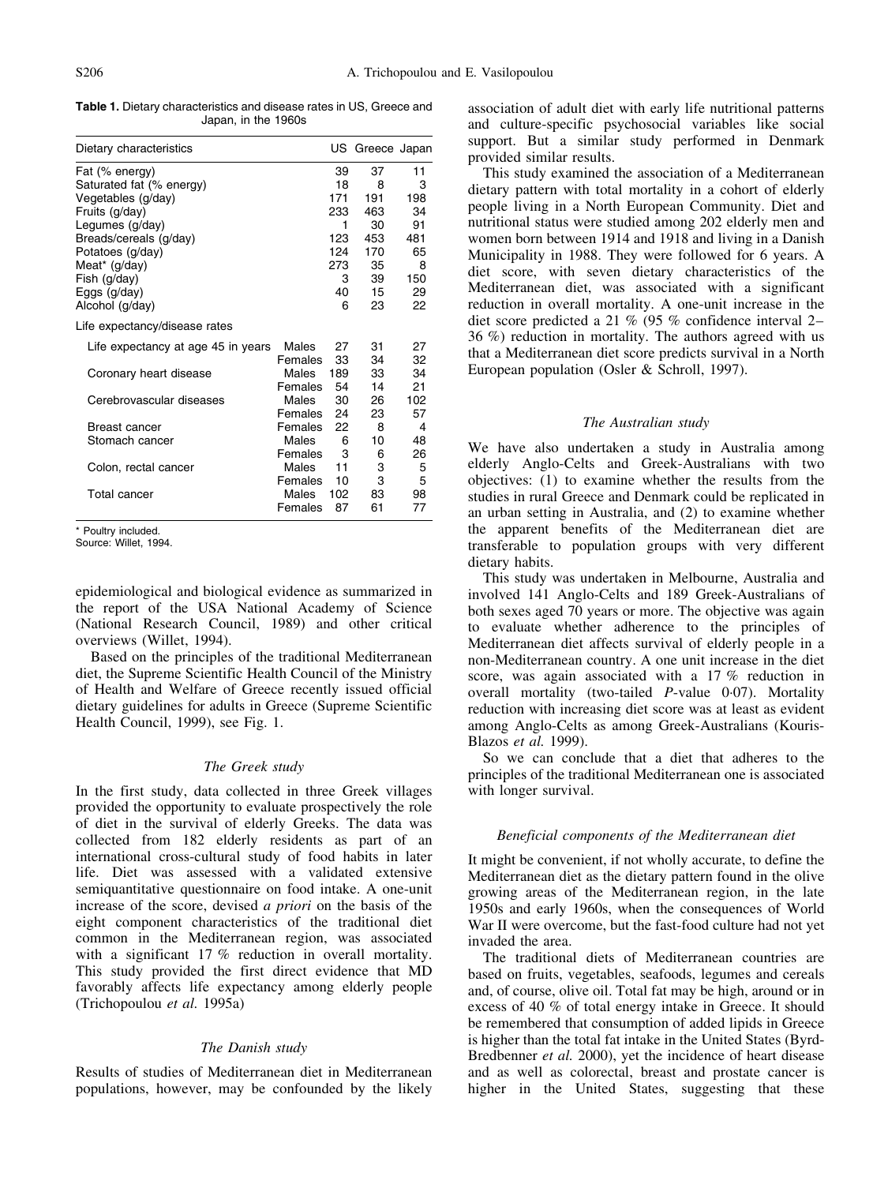<span id="page-1-0"></span>Table 1. Dietary characteristics and disease rates in US, Greece and Japan, in the 1960s

| Dietary characteristics            |            |     | US Greece Japan |     |
|------------------------------------|------------|-----|-----------------|-----|
| Fat (% energy)                     |            | 39  | 37              | 11  |
| Saturated fat (% energy)           |            | 18  | 8               | 3   |
| Vegetables (g/day)                 |            | 171 | 191             | 198 |
| Fruits (g/day)                     |            | 233 | 463             | 34  |
| Legumes (g/day)                    |            | 1   | 30              | 91  |
| Breads/cereals (g/day)             |            | 123 | 453             | 481 |
| Potatoes (g/day)                   |            | 124 | 170             | 65  |
| Meat* (g/day)                      |            | 273 | 35              | 8   |
| Fish (g/day)                       |            |     | 3<br>39         | 150 |
| Eggs (g/day)                       |            | 40  | 15              | 29  |
| Alcohol (g/day)                    |            | 6   | 23              | 22  |
| Life expectancy/disease rates      |            |     |                 |     |
| Life expectancy at age 45 in years | Males      | 27  | 31              | 27  |
|                                    | Females    | 33  | 34              | 32  |
| Coronary heart disease             | Males      | 189 | 33              | 34  |
|                                    | Females 54 |     | 14              | 21  |
| Cerebrovascular diseases           | Males      | 30  | 26              | 102 |
|                                    | Females 24 |     | 23              | 57  |
| Breast cancer                      | Females    | 22  | 8               | 4   |
| Stomach cancer                     | Males      | 6   | 10              | 48  |
|                                    | Females    | 3   | 6               | 26  |
| Colon, rectal cancer               | Males      | 11  | 3               | 5   |
|                                    | Females    | 10  | 3               | 5   |
| Total cancer                       | Males      | 102 | 83              | 98  |
|                                    | Females    | 87  | 61              | 77  |
|                                    |            |     |                 |     |

\* Poultry included.

Source: Willet, 1994.

epidemiological and biological evidence as summarized in the report of the USA National Academy of Science (National Research Council, 1989) and other critical overviews (Willet, 1994).

Based on the principles of the traditional Mediterranean diet, the Supreme Scientific Health Council of the Ministry of Health and Welfare of Greece recently issued official dietary guidelines for adults in Greece (Supreme Scientific Health Council, 1999), see [Fig. 1.](#page-2-0)

## The Greek study

In the first study, data collected in three Greek villages provided the opportunity to evaluate prospectively the role of diet in the survival of elderly Greeks. The data was collected from 182 elderly residents as part of an international cross-cultural study of food habits in later life. Diet was assessed with a validated extensive semiquantitative questionnaire on food intake. A one-unit increase of the score, devised a priori on the basis of the eight component characteristics of the traditional diet common in the Mediterranean region, was associated with a significant 17 % reduction in overall mortality. This study provided the first direct evidence that MD favorably affects life expectancy among elderly people (Trichopoulou et al. 1995a)

### The Danish study

Results of studies of Mediterranean diet in Mediterranean populations, however, may be confounded by the likely

association of adult diet with early life nutritional patterns and culture-specific psychosocial variables like social support. But a similar study performed in Denmark provided similar results.

This study examined the association of a Mediterranean dietary pattern with total mortality in a cohort of elderly people living in a North European Community. Diet and nutritional status were studied among 202 elderly men and women born between 1914 and 1918 and living in a Danish Municipality in 1988. They were followed for 6 years. A diet score, with seven dietary characteristics of the Mediterranean diet, was associated with a significant reduction in overall mortality. A one-unit increase in the diet score predicted a 21 % (95 % confidence interval 2– 36 %) reduction in mortality. The authors agreed with us that a Mediterranean diet score predicts survival in a North European population (Osler & Schroll, 1997).

### The Australian study

We have also undertaken a study in Australia among elderly Anglo-Celts and Greek-Australians with two objectives: (1) to examine whether the results from the studies in rural Greece and Denmark could be replicated in an urban setting in Australia, and (2) to examine whether the apparent benefits of the Mediterranean diet are transferable to population groups with very different dietary habits.

This study was undertaken in Melbourne, Australia and involved 141 Anglo-Celts and 189 Greek-Australians of both sexes aged 70 years or more. The objective was again to evaluate whether adherence to the principles of Mediterranean diet affects survival of elderly people in a non-Mediterranean country. A one unit increase in the diet score, was again associated with a 17 % reduction in overall mortality (two-tailed  $P$ -value 0 $\cdot$ 07). Mortality reduction with increasing diet score was at least as evident among Anglo-Celts as among Greek-Australians (Kouris-Blazos et al. 1999).

So we can conclude that a diet that adheres to the principles of the traditional Mediterranean one is associated with longer survival.

#### Beneficial components of the Mediterranean diet

It might be convenient, if not wholly accurate, to define the Mediterranean diet as the dietary pattern found in the olive growing areas of the Mediterranean region, in the late 1950s and early 1960s, when the consequences of World War II were overcome, but the fast-food culture had not yet invaded the area.

The traditional diets of Mediterranean countries are based on fruits, vegetables, seafoods, legumes and cereals and, of course, olive oil. Total fat may be high, around or in excess of 40 % of total energy intake in Greece. It should be remembered that consumption of added lipids in Greece is higher than the total fat intake in the United States (Byrd-Bredbenner et al. 2000), yet the incidence of heart disease and as well as colorectal, breast and prostate cancer is higher in the United States, suggesting that these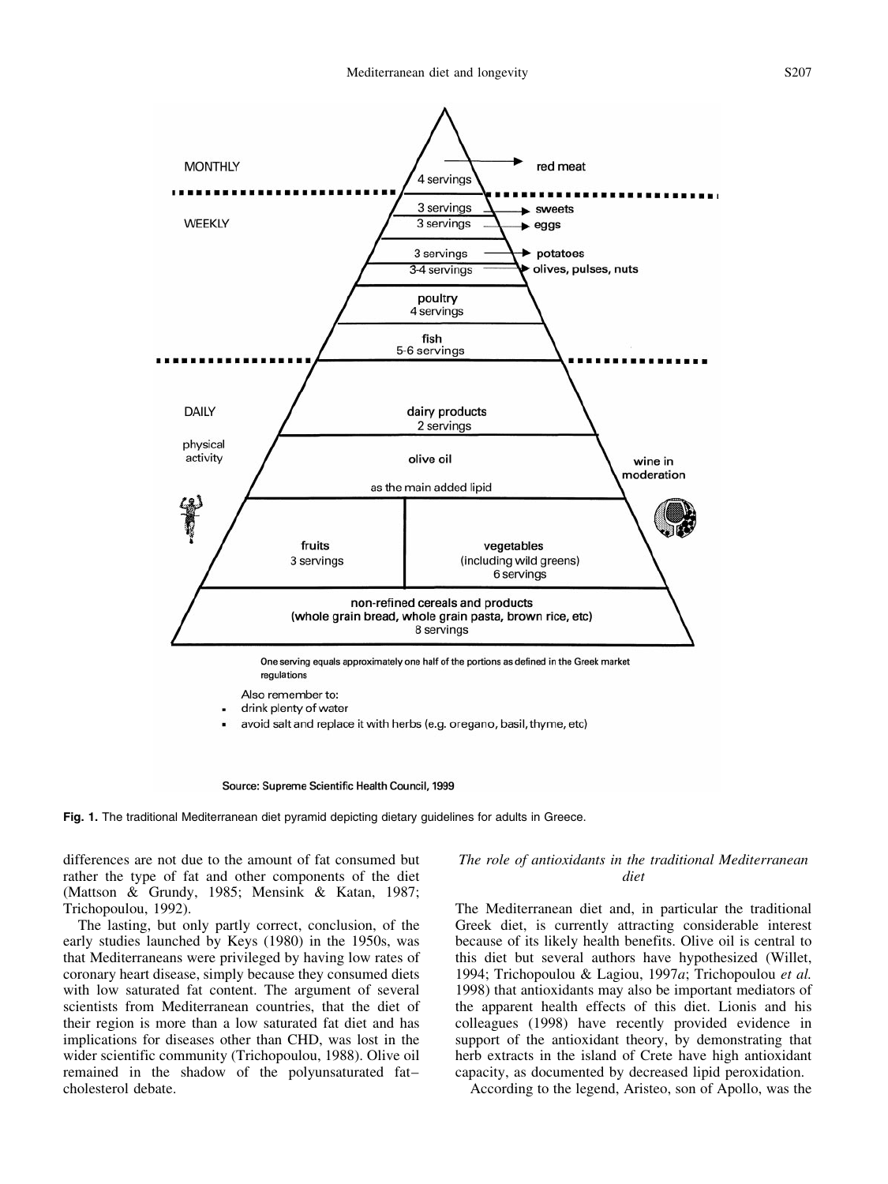<span id="page-2-0"></span>

Source: Supreme Scientific Health Council, 1999

Fig. 1. The traditional Mediterranean diet pyramid depicting dietary guidelines for adults in Greece.

differences are not due to the amount of fat consumed but rather the type of fat and other components of the diet (Mattson & Grundy, 1985; Mensink & Katan, 1987; Trichopoulou, 1992).

The lasting, but only partly correct, conclusion, of the early studies launched by Keys (1980) in the 1950s, was that Mediterraneans were privileged by having low rates of coronary heart disease, simply because they consumed diets with low saturated fat content. The argument of several scientists from Mediterranean countries, that the diet of their region is more than a low saturated fat diet and has implications for diseases other than CHD, was lost in the wider scientific community (Trichopoulou, 1988). Olive oil remained in the shadow of the polyunsaturated fatcholesterol debate.

# The role of antioxidants in the traditional Mediterranean diet

The Mediterranean diet and, in particular the traditional Greek diet, is currently attracting considerable interest because of its likely health benefits. Olive oil is central to this diet but several authors have hypothesized (Willet, 1994; Trichopoulou & Lagiou, 1997a; Trichopoulou et al. 1998) that antioxidants may also be important mediators of the apparent health effects of this diet. Lionis and his colleagues (1998) have recently provided evidence in support of the antioxidant theory, by demonstrating that herb extracts in the island of Crete have high antioxidant capacity, as documented by decreased lipid peroxidation.

According to the legend, Aristeo, son of Apollo, was the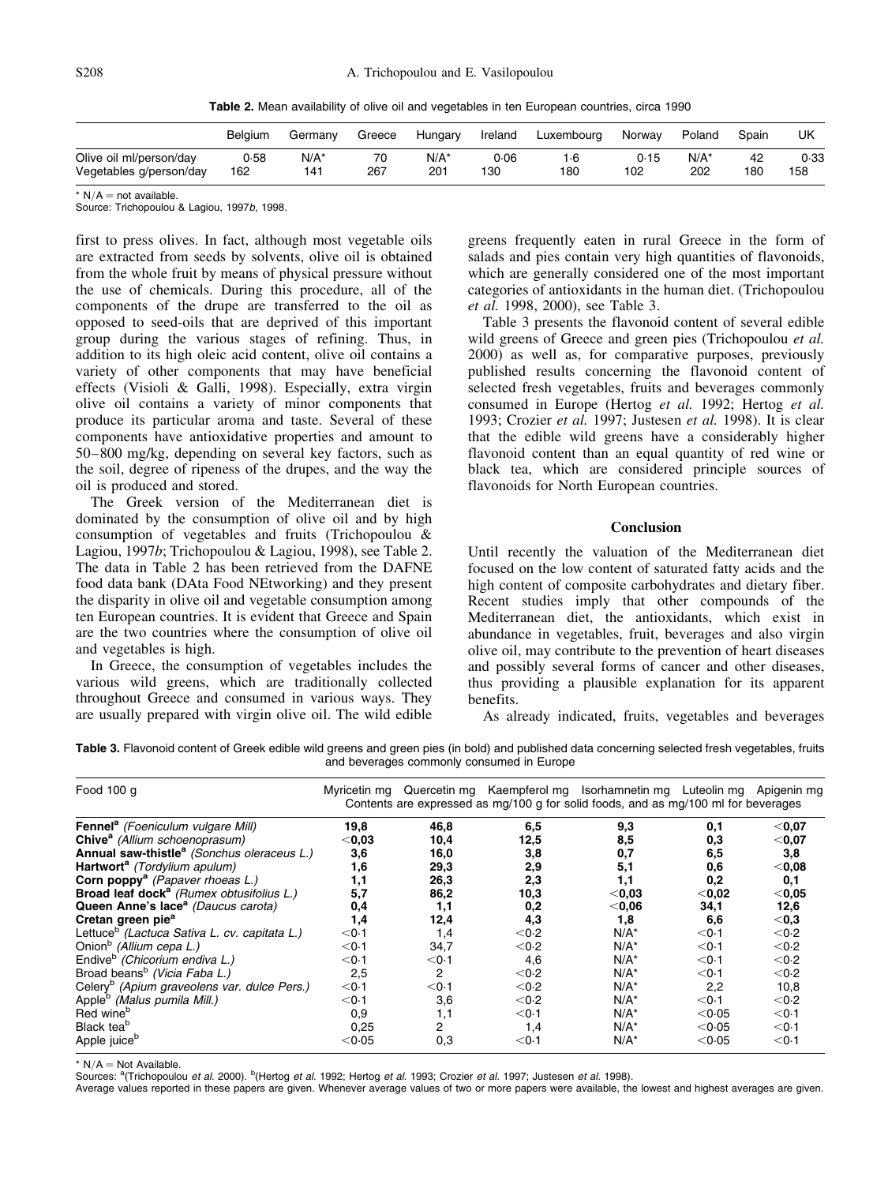Table 2. Mean availability of olive oil and vegetables in ten European countries, circa 1990

|                         | Belaium | Germanv | Greece | Hungary | Ireland | Luxembourg | Norway | Poland  | Spain | UK   |
|-------------------------|---------|---------|--------|---------|---------|------------|--------|---------|-------|------|
| Olive oil ml/person/day | 0.58    | $N/A^*$ | 70     | $N/A^*$ | 0.06    | 1.6        | 0.15   | $N/A^*$ | 42    | 0.33 |
| Vegetables g/person/day | 162     | 141     | 267    | 201     | 130     | 180        | 102    | 202     | 180   | 158  |

 $*$  N/A  $=$  not available.

Source: Trichopoulou & Lagiou, 1997b, 1998.

first to press olives. In fact, although most vegetable oils are extracted from seeds by solvents, olive oil is obtained from the whole fruit by means of physical pressure without the use of chemicals. During this procedure, all of the components of the drupe are transferred to the oil as opposed to seed-oils that are deprived of this important group during the various stages of refining. Thus, in addition to its high oleic acid content, olive oil contains a variety of other components that may have beneficial effects (Visioli & Galli, 1998). Especially, extra virgin olive oil contains a variety of minor components that produce its particular aroma and taste. Several of these components have antioxidative properties and amount to 50±800 mg/kg, depending on several key factors, such as the soil, degree of ripeness of the drupes, and the way the oil is produced and stored.

The Greek version of the Mediterranean diet is dominated by the consumption of olive oil and by high consumption of vegetables and fruits (Trichopoulou & Lagiou, 1997b; Trichopoulou & Lagiou, 1998), see Table 2. The data in Table 2 has been retrieved from the DAFNE food data bank (DAta Food NEtworking) and they present the disparity in olive oil and vegetable consumption among ten European countries. It is evident that Greece and Spain are the two countries where the consumption of olive oil and vegetables is high.

In Greece, the consumption of vegetables includes the various wild greens, which are traditionally collected throughout Greece and consumed in various ways. They are usually prepared with virgin olive oil. The wild edible greens frequently eaten in rural Greece in the form of salads and pies contain very high quantities of flavonoids, which are generally considered one of the most important categories of antioxidants in the human diet. (Trichopoulou et al. 1998, 2000), see Table 3.

Table 3 presents the flavonoid content of several edible wild greens of Greece and green pies (Trichopoulou *et al.*) 2000) as well as, for comparative purposes, previously published results concerning the flavonoid content of selected fresh vegetables, fruits and beverages commonly consumed in Europe (Hertog et al. 1992; Hertog et al. 1993; Crozier et al. 1997; Justesen et al. 1998). It is clear that the edible wild greens have a considerably higher flavonoid content than an equal quantity of red wine or black tea, which are considered principle sources of flavonoids for North European countries.

#### **Conclusion**

Until recently the valuation of the Mediterranean diet focused on the low content of saturated fatty acids and the high content of composite carbohydrates and dietary fiber. Recent studies imply that other compounds of the Mediterranean diet, the antioxidants, which exist in abundance in vegetables, fruit, beverages and also virgin olive oil, may contribute to the prevention of heart diseases and possibly several forms of cancer and other diseases, thus providing a plausible explanation for its apparent benefits.

As already indicated, fruits, vegetables and beverages

Table 3. Flavonoid content of Greek edible wild greens and green pies (in bold) and published data concerning selected fresh vegetables, fruits and beverages commonly consumed in Europe

| Food 100 g                                               | Myricetin mg Quercetin mg Kaempferol mg Isorhamnetin mg Luteolin mg Apigenin mg<br>Contents are expressed as mg/100 g for solid foods, and as mg/100 ml for beverages |         |                 |          |          |                 |  |
|----------------------------------------------------------|-----------------------------------------------------------------------------------------------------------------------------------------------------------------------|---------|-----------------|----------|----------|-----------------|--|
| Fennel <sup>a</sup> (Foeniculum vulgare Mill)            | 19,8                                                                                                                                                                  | 46,8    | 6,5             | 9,3      | 0,1      | $<$ 0,07        |  |
| Chive <sup>a</sup> (Allium schoenoprasum)                | $<$ 0.03                                                                                                                                                              | 10,4    | 12,5            | 8,5      | 0,3      | $<$ 0,07        |  |
| Annual saw-thistle <sup>a</sup> (Sonchus oleraceus L.)   | 3,6                                                                                                                                                                   | 16,0    | 3,8             | 0,7      | 6,5      | 3,8             |  |
| Hartwort <sup>a</sup> (Tordylium apulum)                 | 1,6                                                                                                                                                                   | 29,3    | 2,9             | 5,1      | 0,6      | $<$ 0,08        |  |
| Corn poppy <sup>a</sup> (Papaver rhoeas L.)              | 1,1                                                                                                                                                                   | 26,3    | 2,3             | 1,1      | 0,2      | 0,1             |  |
| Broad leaf dock <sup>a</sup> (Rumex obtusifolius L.)     | 5,7                                                                                                                                                                   | 86,2    | 10,3            | $<$ 0,03 | $<$ 0,02 | $<$ 0,05        |  |
| Queen Anne's lace <sup>a</sup> (Daucus carota)           | 0,4                                                                                                                                                                   | 1,1     | 0,2             | $<$ 0,06 | 34,1     | 12,6            |  |
| Cretan green pie <sup>a</sup>                            | 1,4                                                                                                                                                                   | 12,4    | 4,3             | 1.8      | 6,6      | $<$ 0,3         |  |
| Lettuce <sup>b</sup> (Lactuca Sativa L. cv. capitata L.) | $<$ 0 $\cdot$ 1                                                                                                                                                       | 1,4     | < 0.2           | $N/A^*$  | < 0.1    | < 0.2           |  |
| Onion <sup>b</sup> (Allium cepa L.)                      | < 0.1                                                                                                                                                                 | 34,7    | < 0.2           | $N/A^*$  | < 0.1    | < 0.2           |  |
| Endive <sup>b</sup> (Chicorium endiva L.)                | < 0.1                                                                                                                                                                 | $<$ 0.1 | 4,6             | $N/A^*$  | < 0.1    | < 0.2           |  |
| Broad beans <sup>b</sup> (Vicia Faba L.)                 | 2,5                                                                                                                                                                   | 2       | < 0.2           | $N/A^*$  | < 0.1    | < 0.2           |  |
| Celery <sup>b</sup> (Apium graveolens var. dulce Pers.)  | < 0.1                                                                                                                                                                 | $<$ 0.1 | < 0.2           | $N/A^*$  | 2,2      | 10,8            |  |
| Apple <sup>p</sup> (Malus pumila Mill.)                  | $<$ 0 $\cdot$ 1                                                                                                                                                       | 3,6     | < 0.2           | $N/A^*$  | < 0.1    | < 0.2           |  |
| Red wine <sup>p</sup>                                    | 0,9                                                                                                                                                                   | 1,1     | < 0.1           | $N/A^*$  | < 0.05   | < 0.1           |  |
| Black tea <sup>b</sup>                                   | 0,25                                                                                                                                                                  | 2       | 1,4             | $N/A^*$  | < 0.05   | $<$ 0 $\cdot$ 1 |  |
| Apple juice <sup>b</sup>                                 | < 0.05                                                                                                                                                                | 0,3     | $<$ 0 $\cdot$ 1 | $N/A^*$  | < 0.05   | < 0.1           |  |

\*  $N/A = Not$  Available.

Sources: <sup>a</sup>(Trichopoulou et al. 2000). <sup>b</sup>(Hertog et al. 1992; Hertog et al. 1993; Crozier et al. 1997; Justesen et al. 1998).

Average values reported in these papers are given. Whenever average values of two or more papers were available, the lowest and highest averages are given.